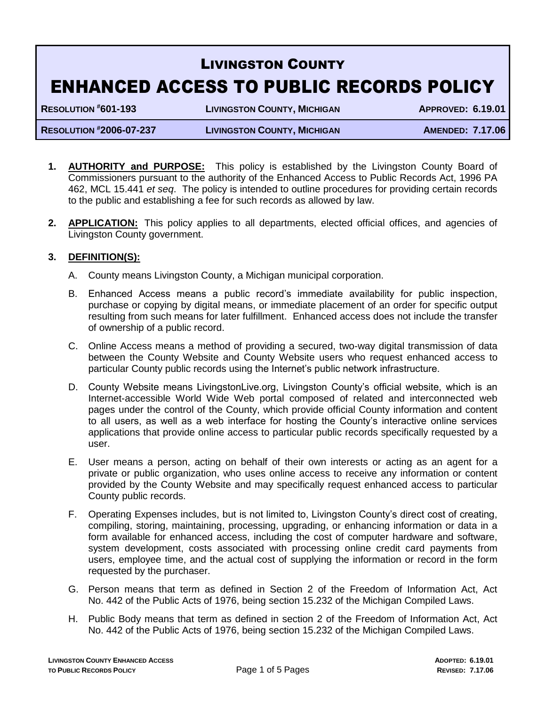# LIVINGSTON COUNTY ENHANCED ACCESS TO PUBLIC RECORDS POLICY

**RESOLUTION #601-193 LIVINGSTON COUNTY, MICHIGAN APPROVED: 6.19.01**

**RESOLUTION #2006-07-237 LIVINGSTON COUNTY, MICHIGAN AMENDED: 7.17.06**

- **1. AUTHORITY and PURPOSE:** This policy is established by the Livingston County Board of Commissioners pursuant to the authority of the Enhanced Access to Public Records Act, 1996 PA 462, MCL 15.441 *et seq*. The policy is intended to outline procedures for providing certain records to the public and establishing a fee for such records as allowed by law.
- **2. APPLICATION:** This policy applies to all departments, elected official offices, and agencies of Livingston County government.

## **3. DEFINITION(S):**

- A. County means Livingston County, a Michigan municipal corporation.
- B. Enhanced Access means a public record's immediate availability for public inspection, purchase or copying by digital means, or immediate placement of an order for specific output resulting from such means for later fulfillment. Enhanced access does not include the transfer of ownership of a public record.
- C. Online Access means a method of providing a secured, two-way digital transmission of data between the County Website and County Website users who request enhanced access to particular County public records using the Internet's public network infrastructure.
- D. County Website means LivingstonLive.org, Livingston County's official website, which is an Internet-accessible World Wide Web portal composed of related and interconnected web pages under the control of the County, which provide official County information and content to all users, as well as a web interface for hosting the County's interactive online services applications that provide online access to particular public records specifically requested by a user.
- E. User means a person, acting on behalf of their own interests or acting as an agent for a private or public organization, who uses online access to receive any information or content provided by the County Website and may specifically request enhanced access to particular County public records.
- F. Operating Expenses includes, but is not limited to, Livingston County's direct cost of creating, compiling, storing, maintaining, processing, upgrading, or enhancing information or data in a form available for enhanced access, including the cost of computer hardware and software, system development, costs associated with processing online credit card payments from users, employee time, and the actual cost of supplying the information or record in the form requested by the purchaser.
- G. Person means that term as defined in Section 2 of the Freedom of Information Act, Act No. 442 of the Public Acts of 1976, being section 15.232 of the Michigan Compiled Laws.
- H. Public Body means that term as defined in section 2 of the Freedom of Information Act, Act No. 442 of the Public Acts of 1976, being section 15.232 of the Michigan Compiled Laws.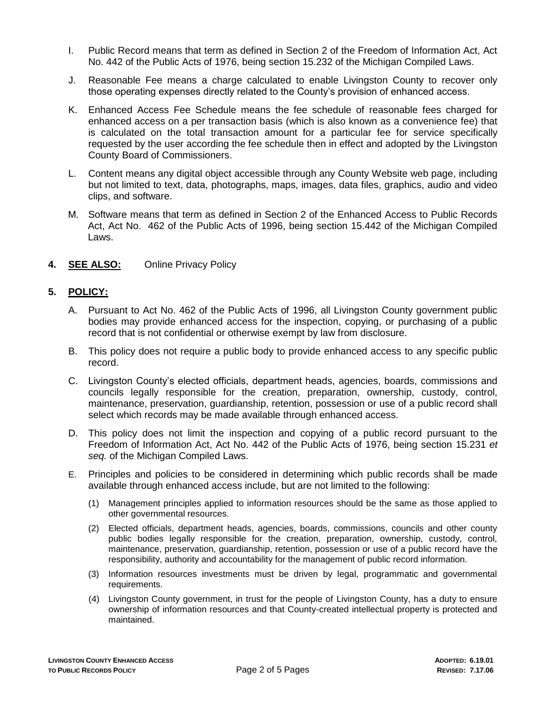- I. Public Record means that term as defined in Section 2 of the Freedom of Information Act, Act No. 442 of the Public Acts of 1976, being section 15.232 of the Michigan Compiled Laws.
- J. Reasonable Fee means a charge calculated to enable Livingston County to recover only those operating expenses directly related to the County's provision of enhanced access.
- K. Enhanced Access Fee Schedule means the fee schedule of reasonable fees charged for enhanced access on a per transaction basis (which is also known as a convenience fee) that is calculated on the total transaction amount for a particular fee for service specifically requested by the user according the fee schedule then in effect and adopted by the Livingston County Board of Commissioners.
- L. Content means any digital object accessible through any County Website web page, including but not limited to text, data, photographs, maps, images, data files, graphics, audio and video clips, and software.
- M. Software means that term as defined in Section 2 of the Enhanced Access to Public Records Act, Act No. 462 of the Public Acts of 1996, being section 15.442 of the Michigan Compiled Laws.
- **4. SEE ALSO:** Online Privacy Policy

## **5. POLICY:**

- A. Pursuant to Act No. 462 of the Public Acts of 1996, all Livingston County government public bodies may provide enhanced access for the inspection, copying, or purchasing of a public record that is not confidential or otherwise exempt by law from disclosure.
- B. This policy does not require a public body to provide enhanced access to any specific public record.
- C. Livingston County's elected officials, department heads, agencies, boards, commissions and councils legally responsible for the creation, preparation, ownership, custody, control, maintenance, preservation, guardianship, retention, possession or use of a public record shall select which records may be made available through enhanced access.
- D. This policy does not limit the inspection and copying of a public record pursuant to the Freedom of Information Act, Act No. 442 of the Public Acts of 1976, being section 15.231 *et seq.* of the Michigan Compiled Laws.
- E. Principles and policies to be considered in determining which public records shall be made available through enhanced access include, but are not limited to the following:
	- (1) Management principles applied to information resources should be the same as those applied to other governmental resources.
	- (2) Elected officials, department heads, agencies, boards, commissions, councils and other county public bodies legally responsible for the creation, preparation, ownership, custody, control, maintenance, preservation, guardianship, retention, possession or use of a public record have the responsibility, authority and accountability for the management of public record information.
	- (3) Information resources investments must be driven by legal, programmatic and governmental requirements.
	- (4) Livingston County government, in trust for the people of Livingston County, has a duty to ensure ownership of information resources and that County-created intellectual property is protected and maintained.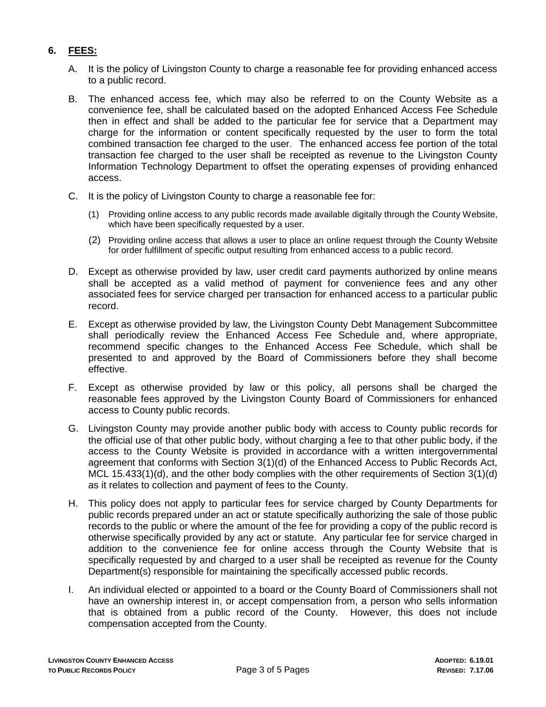# **6. FEES:**

- A. It is the policy of Livingston County to charge a reasonable fee for providing enhanced access to a public record.
- B. The enhanced access fee, which may also be referred to on the County Website as a convenience fee, shall be calculated based on the adopted Enhanced Access Fee Schedule then in effect and shall be added to the particular fee for service that a Department may charge for the information or content specifically requested by the user to form the total combined transaction fee charged to the user. The enhanced access fee portion of the total transaction fee charged to the user shall be receipted as revenue to the Livingston County Information Technology Department to offset the operating expenses of providing enhanced access.
- C. It is the policy of Livingston County to charge a reasonable fee for:
	- (1) Providing online access to any public records made available digitally through the County Website, which have been specifically requested by a user.
	- (2) Providing online access that allows a user to place an online request through the County Website for order fulfillment of specific output resulting from enhanced access to a public record.
- D. Except as otherwise provided by law, user credit card payments authorized by online means shall be accepted as a valid method of payment for convenience fees and any other associated fees for service charged per transaction for enhanced access to a particular public record.
- E. Except as otherwise provided by law, the Livingston County Debt Management Subcommittee shall periodically review the Enhanced Access Fee Schedule and, where appropriate, recommend specific changes to the Enhanced Access Fee Schedule, which shall be presented to and approved by the Board of Commissioners before they shall become effective.
- F. Except as otherwise provided by law or this policy, all persons shall be charged the reasonable fees approved by the Livingston County Board of Commissioners for enhanced access to County public records.
- G. Livingston County may provide another public body with access to County public records for the official use of that other public body, without charging a fee to that other public body, if the access to the County Website is provided in accordance with a written intergovernmental agreement that conforms with Section 3(1)(d) of the Enhanced Access to Public Records Act, MCL 15.433(1)(d), and the other body complies with the other requirements of Section 3(1)(d) as it relates to collection and payment of fees to the County.
- H. This policy does not apply to particular fees for service charged by County Departments for public records prepared under an act or statute specifically authorizing the sale of those public records to the public or where the amount of the fee for providing a copy of the public record is otherwise specifically provided by any act or statute. Any particular fee for service charged in addition to the convenience fee for online access through the County Website that is specifically requested by and charged to a user shall be receipted as revenue for the County Department(s) responsible for maintaining the specifically accessed public records.
- I. An individual elected or appointed to a board or the County Board of Commissioners shall not have an ownership interest in, or accept compensation from, a person who sells information that is obtained from a public record of the County. However, this does not include compensation accepted from the County.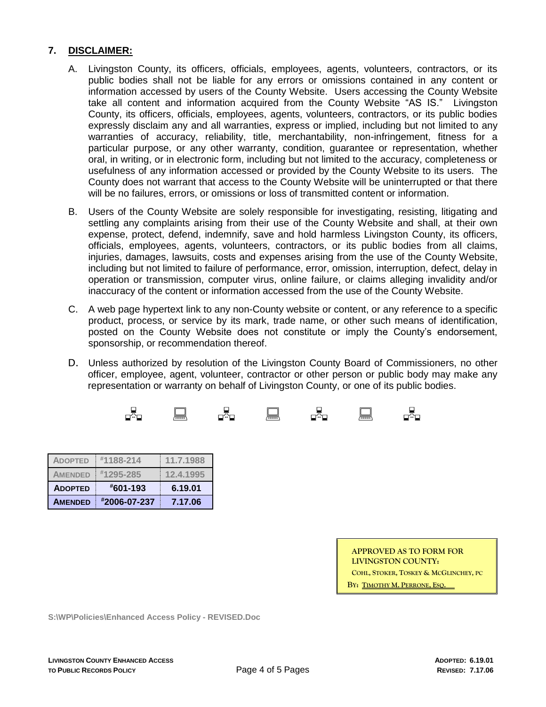## **7. DISCLAIMER:**

- A. Livingston County, its officers, officials, employees, agents, volunteers, contractors, or its public bodies shall not be liable for any errors or omissions contained in any content or information accessed by users of the County Website. Users accessing the County Website take all content and information acquired from the County Website "AS IS." Livingston County, its officers, officials, employees, agents, volunteers, contractors, or its public bodies expressly disclaim any and all warranties, express or implied, including but not limited to any warranties of accuracy, reliability, title, merchantability, non-infringement, fitness for a particular purpose, or any other warranty, condition, guarantee or representation, whether oral, in writing, or in electronic form, including but not limited to the accuracy, completeness or usefulness of any information accessed or provided by the County Website to its users. The County does not warrant that access to the County Website will be uninterrupted or that there will be no failures, errors, or omissions or loss of transmitted content or information.
- B. Users of the County Website are solely responsible for investigating, resisting, litigating and settling any complaints arising from their use of the County Website and shall, at their own expense, protect, defend, indemnify, save and hold harmless Livingston County, its officers, officials, employees, agents, volunteers, contractors, or its public bodies from all claims, injuries, damages, lawsuits, costs and expenses arising from the use of the County Website, including but not limited to failure of performance, error, omission, interruption, defect, delay in operation or transmission, computer virus, online failure, or claims alleging invalidity and/or inaccuracy of the content or information accessed from the use of the County Website.
- C. A web page hypertext link to any non-County website or content, or any reference to a specific product, process, or service by its mark, trade name, or other such means of identification, posted on the County Website does not constitute or imply the County's endorsement, sponsorship, or recommendation thereof.
- D. Unless authorized by resolution of the Livingston County Board of Commissioners, no other officer, employee, agent, volunteer, contractor or other person or public body may make any representation or warranty on behalf of Livingston County, or one of its public bodies.



| <b>ADOPTED</b> | #1188-214     | 11.7.1988 |
|----------------|---------------|-----------|
| <b>AMENDED</b> | $*1295 - 285$ | 12.4.1995 |
| <b>ADOPTED</b> | #601-193      | 6.19.01   |
|                |               |           |

| <b>APPROVED AS TO FORM FOR</b>        |
|---------------------------------------|
| LIVINGSTON COUNTY:                    |
| COHL, STOKER, TOSKEY & MCGLINCHEY, PC |
| By: Timothy M. Perrone. Eso.          |

**S:\WP\Policies\Enhanced Access Policy - REVISED.Doc**